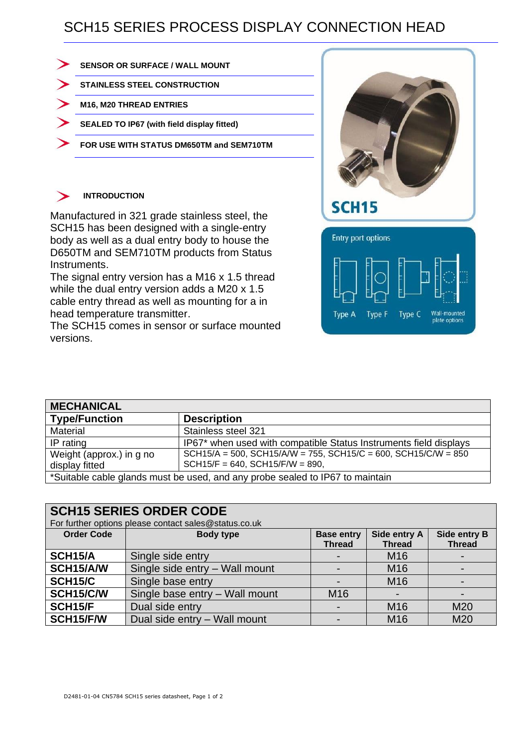## SCH15 SERIES PROCESS DISPLAY CONNECTION HEAD

| <b>SENSOR OR SURFACE / WALL MOUNT</b>      |
|--------------------------------------------|
| <b>STAINLESS STEEL CONSTRUCTION</b>        |
| M16, M20 THREAD ENTRIES                    |
| SEALED TO IP67 (with field display fitted) |
| FOR USE WITH STATUS DM650TM and SEM710TM   |
|                                            |

## **INTRODUCTION** ゝ

Manufactured in 321 grade stainless steel, the SCH15 has been designed with a single-entry body as well as a dual entry body to house the D650TM and SEM710TM products from Status Instruments.

The signal entry version has a M16 x 1.5 thread while the dual entry version adds a M20 x 1.5 cable entry thread as well as mounting for a in head temperature transmitter.

The SCH15 comes in sensor or surface mounted versions.



| <b>MECHANICAL</b>                                                             |                                                                                                                    |  |  |  |  |  |
|-------------------------------------------------------------------------------|--------------------------------------------------------------------------------------------------------------------|--|--|--|--|--|
| <b>Type/Function</b>                                                          | <b>Description</b>                                                                                                 |  |  |  |  |  |
| Material                                                                      | Stainless steel 321                                                                                                |  |  |  |  |  |
| IP rating                                                                     | IP67* when used with compatible Status Instruments field displays                                                  |  |  |  |  |  |
| Weight (approx.) in g no<br>display fitted                                    | $SCH15/A = 500$ , $SCH15/A/W = 755$ , $SCH15/C = 600$ , $SCH15/C/W = 850$<br>$SCH15/F = 640$ , $SCH15/F/W = 890$ , |  |  |  |  |  |
| *Suitable cable glands must be used, and any probe sealed to IP67 to maintain |                                                                                                                    |  |  |  |  |  |

| <b>SCH15 SERIES ORDER CODE</b>                        |                                |                   |                 |               |  |  |  |
|-------------------------------------------------------|--------------------------------|-------------------|-----------------|---------------|--|--|--|
| For further options please contact sales@status.co.uk |                                |                   |                 |               |  |  |  |
| <b>Order Code</b>                                     | <b>Body type</b>               | <b>Base entry</b> | Side entry A    | Side entry B  |  |  |  |
|                                                       |                                | <b>Thread</b>     | <b>Thread</b>   | <b>Thread</b> |  |  |  |
| <b>SCH15/A</b>                                        | Single side entry              |                   | M <sub>16</sub> |               |  |  |  |
| SCH15/A/W                                             | Single side entry - Wall mount | $\blacksquare$    | M <sub>16</sub> |               |  |  |  |
| <b>SCH15/C</b>                                        | Single base entry              |                   | M <sub>16</sub> |               |  |  |  |
| SCH15/C/W                                             | Single base entry - Wall mount | M <sub>16</sub>   | $\blacksquare$  |               |  |  |  |
| SCH15/F                                               | Dual side entry                |                   | M <sub>16</sub> | M20           |  |  |  |
| SCH15/F/W                                             | Dual side entry - Wall mount   |                   | M16             | M20           |  |  |  |